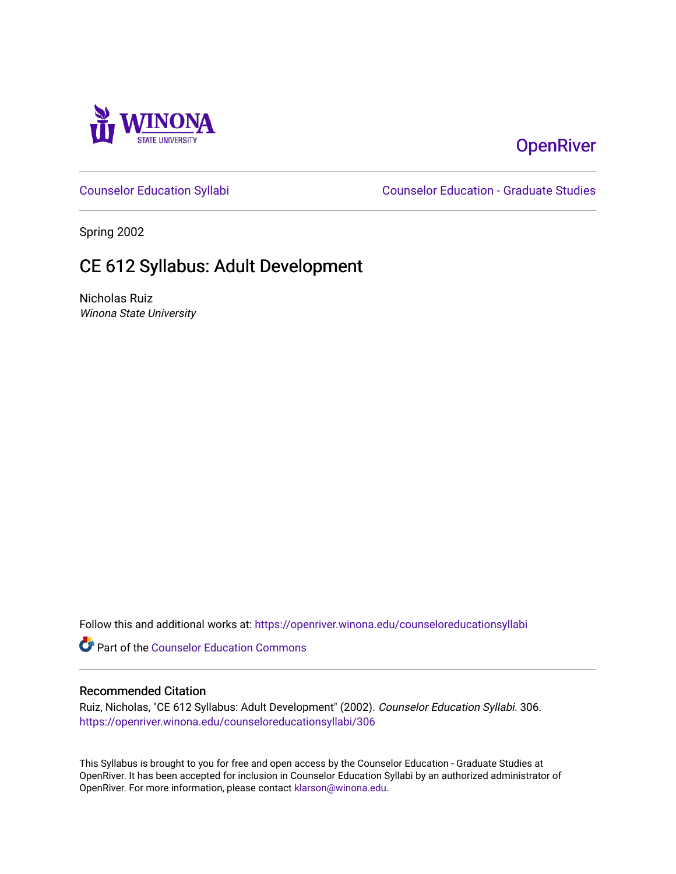

# **OpenRiver**

[Counselor Education Syllabi](https://openriver.winona.edu/counseloreducationsyllabi) [Counselor Education - Graduate Studies](https://openriver.winona.edu/counseloreducation) 

Spring 2002

# CE 612 Syllabus: Adult Development

Nicholas Ruiz Winona State University

Follow this and additional works at: [https://openriver.winona.edu/counseloreducationsyllabi](https://openriver.winona.edu/counseloreducationsyllabi?utm_source=openriver.winona.edu%2Fcounseloreducationsyllabi%2F306&utm_medium=PDF&utm_campaign=PDFCoverPages)

Part of the [Counselor Education Commons](http://network.bepress.com/hgg/discipline/1278?utm_source=openriver.winona.edu%2Fcounseloreducationsyllabi%2F306&utm_medium=PDF&utm_campaign=PDFCoverPages) 

#### Recommended Citation

Ruiz, Nicholas, "CE 612 Syllabus: Adult Development" (2002). Counselor Education Syllabi. 306. [https://openriver.winona.edu/counseloreducationsyllabi/306](https://openriver.winona.edu/counseloreducationsyllabi/306?utm_source=openriver.winona.edu%2Fcounseloreducationsyllabi%2F306&utm_medium=PDF&utm_campaign=PDFCoverPages)

This Syllabus is brought to you for free and open access by the Counselor Education - Graduate Studies at OpenRiver. It has been accepted for inclusion in Counselor Education Syllabi by an authorized administrator of OpenRiver. For more information, please contact [klarson@winona.edu](mailto:klarson@winona.edu).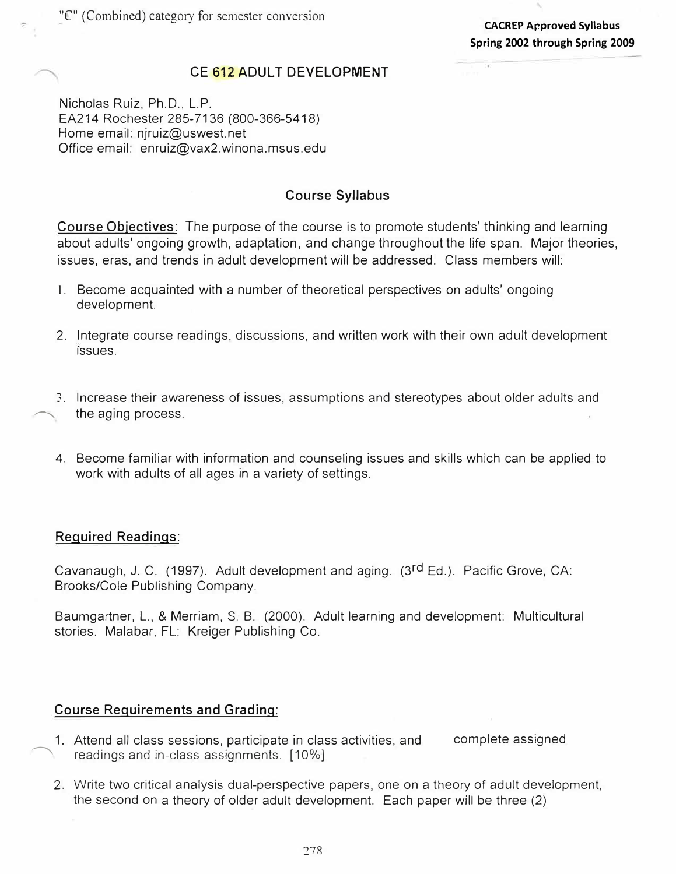#### **CE 612 ADULT DEVELOPMENT**

Nicholas Ruiz, Ph.D., L.P. EA214 Rochester 285-7136 (800-366-5418) Home email: njruiz@uswest.net Office email: enruiz@vax2.winona.msus.edu

### **Course Syllabus**

**Course Objectives:** The purpose of the course is to promote students' thinking and learning about adults' ongoing growth, adaptation, and change throughout the life span. Major theories, issues, eras, and trends in adult development will be addressed. Class members will:

- 1. Become acquainted with a number of theoretical perspectives on adults' ongoing development.
- 2. Integrate course readings, discussions, and written work with their own adult development issues.
- 3. Increase their awareness of issues, assumptions and stereotypes about older adults and the aging process.
- 4. Become familiar with information and counseling issues and skills which can be applied to work with adults of all ages in a variety of settings.

#### **Required Readings:**

Cavanaugh, J. C. (1997). Adult development and aging. (3rd Ed.). Pacific Grove, CA: Brooks/Cole Publishing Company.

Baumgartner, L., & Merriam, S. B. (2000). Adult learning and development: Multicultural stories. Malabar, FL: Kreiger Publishing Co.

### **Course Requirements and Grading:**

- $\overline{\phantom{a}}$ 1. Attend all class sessions, participate in class activities, and readings and in-class assignments. [10%] complete assigned
	- 2. Write two critical analysis dual-perspective papers, one on a theory of adult development, the second on a theory of older adult development. Each paper will be three (2)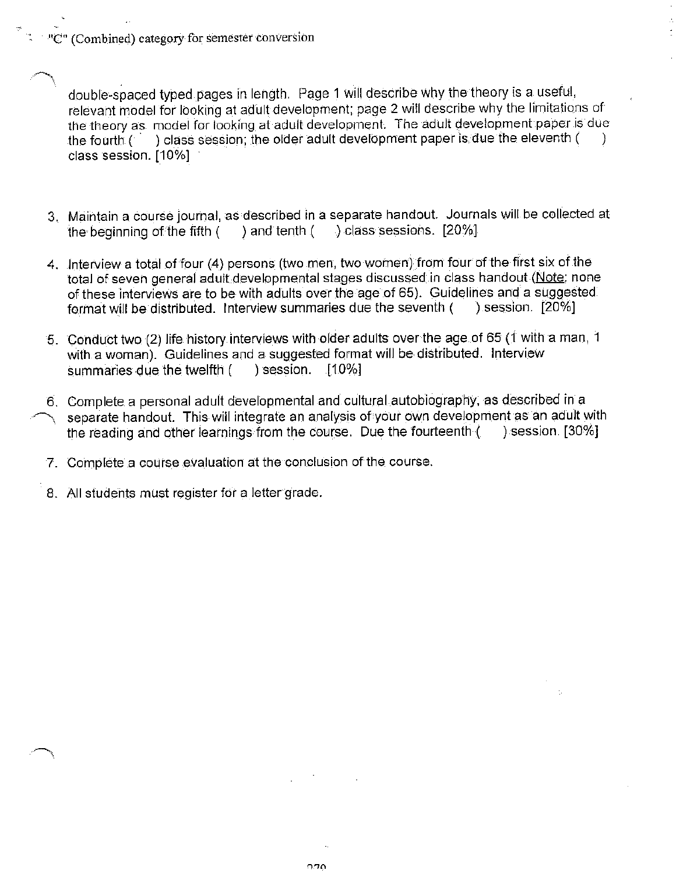$\mathbb{C}^n$  (Combined) category for semester conversion

double-spaced typed pages in length. Page 1 will describe why the theory is a useful, relevant model for looking at adult development; page 2 will describe why the limitations of the theory as model for looking at adult development. The adult development paper is due ) class session; the older adult development paper is due the eleventh ( the fourth  $($ class session. [10%]

- 3. Maintain a course journal, as described in a separate handout. Journals will be collected at ) and tenth  $($   $)$  class sessions. [20%] the beginning of the fifth (
- 4. Interview a total of four (4) persons (two men, two women) from four of the first six of the total of seven general adult developmental stages discussed in class handout (Note: none of these interviews are to be with adults over the age of 65). Guidelines and a suggested format will be distributed. Interview summaries due the seventh ( ) session.  $[20\%]$
- 5. Conduct two (2) life history interviews with older adults over the age of 65 (1 with a man, 1 with a woman). Guidelines and a suggested format will be distributed. Interview summaries due the twelfth ( ) session.  $[10\%]$
- 6. Complete a personal adult developmental and cultural autobiography, as described in a separate handout. This will integrate an analysis of your own development as an adult with the reading and other learnings from the course. Due the fourteenth ( ) session. [30%]
- 7. Complete a course evaluation at the conclusion of the course.
- 8. All students must register for a letter grade.